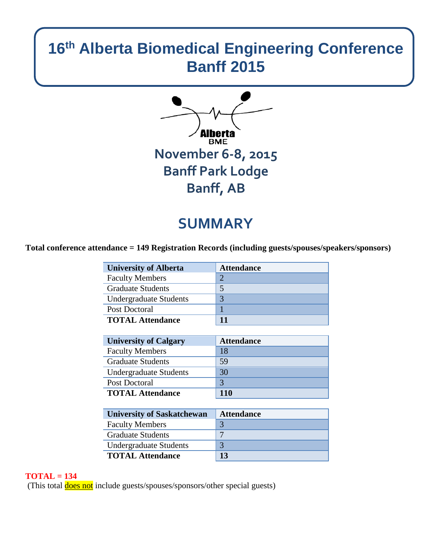# **16th Alberta Biomedical Engineering Conference Banff 2015**



# **SUMMARY**

**Total conference attendance = 149 Registration Records (including guests/spouses/speakers/sponsors)**

| <b>University of Alberta</b>  | <b>Attendance</b> |
|-------------------------------|-------------------|
| <b>Faculty Members</b>        |                   |
| <b>Graduate Students</b>      |                   |
| <b>Undergraduate Students</b> | 3                 |
| Post Doctoral                 |                   |
| <b>TOTAL Attendance</b>       |                   |

| <b>University of Calgary</b>  | <b>Attendance</b> |
|-------------------------------|-------------------|
| <b>Faculty Members</b>        | 18                |
| <b>Graduate Students</b>      | 59                |
| <b>Undergraduate Students</b> | 30                |
| Post Doctoral                 |                   |
| <b>TOTAL Attendance</b>       | 110               |

| <b>University of Saskatchewan</b> | <b>Attendance</b>        |
|-----------------------------------|--------------------------|
| <b>Faculty Members</b>            |                          |
| <b>Graduate Students</b>          | $\overline{\phantom{0}}$ |
| <b>Undergraduate Students</b>     |                          |
| <b>TOTAL Attendance</b>           | 13                       |

#### **TOTAL = 134**

(This total **does not** include guests/spouses/sponsors/other special guests)